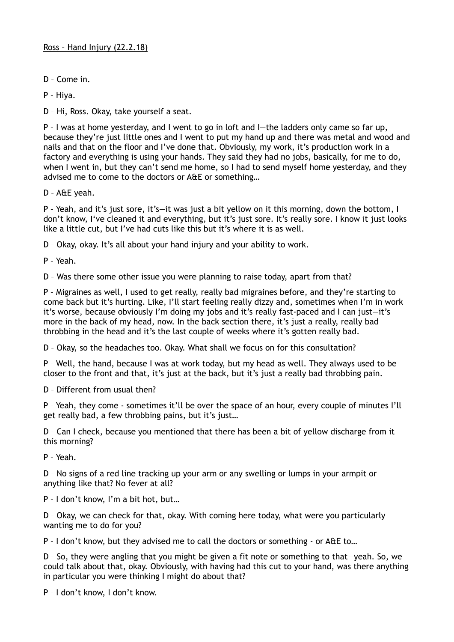D – Come in.

P – Hiya.

D – Hi, Ross. Okay, take yourself a seat.

P – I was at home yesterday, and I went to go in loft and I—the ladders only came so far up, because they're just little ones and I went to put my hand up and there was metal and wood and nails and that on the floor and I've done that. Obviously, my work, it's production work in a factory and everything is using your hands. They said they had no jobs, basically, for me to do, when I went in, but they can't send me home, so I had to send myself home yesterday, and they advised me to come to the doctors or A&E or something…

D – A&E yeah.

P – Yeah, and it's just sore, it's—it was just a bit yellow on it this morning, down the bottom, I don't know, I've cleaned it and everything, but it's just sore. It's really sore. I know it just looks like a little cut, but I've had cuts like this but it's where it is as well.

D – Okay, okay. It's all about your hand injury and your ability to work.

P – Yeah.

D – Was there some other issue you were planning to raise today, apart from that?

P – Migraines as well, I used to get really, really bad migraines before, and they're starting to come back but it's hurting. Like, I'll start feeling really dizzy and, sometimes when I'm in work it's worse, because obviously I'm doing my jobs and it's really fast-paced and I can just—it's more in the back of my head, now. In the back section there, it's just a really, really bad throbbing in the head and it's the last couple of weeks where it's gotten really bad.

D – Okay, so the headaches too. Okay. What shall we focus on for this consultation?

P – Well, the hand, because I was at work today, but my head as well. They always used to be closer to the front and that, it's just at the back, but it's just a really bad throbbing pain.

D – Different from usual then?

P – Yeah, they come - sometimes it'll be over the space of an hour, every couple of minutes I'll get really bad, a few throbbing pains, but it's just…

D – Can I check, because you mentioned that there has been a bit of yellow discharge from it this morning?

P – Yeah.

D – No signs of a red line tracking up your arm or any swelling or lumps in your armpit or anything like that? No fever at all?

P – I don't know, I'm a bit hot, but…

D – Okay, we can check for that, okay. With coming here today, what were you particularly wanting me to do for you?

P – I don't know, but they advised me to call the doctors or something - or A&E to…

D – So, they were angling that you might be given a fit note or something to that—yeah. So, we could talk about that, okay. Obviously, with having had this cut to your hand, was there anything in particular you were thinking I might do about that?

P – I don't know, I don't know.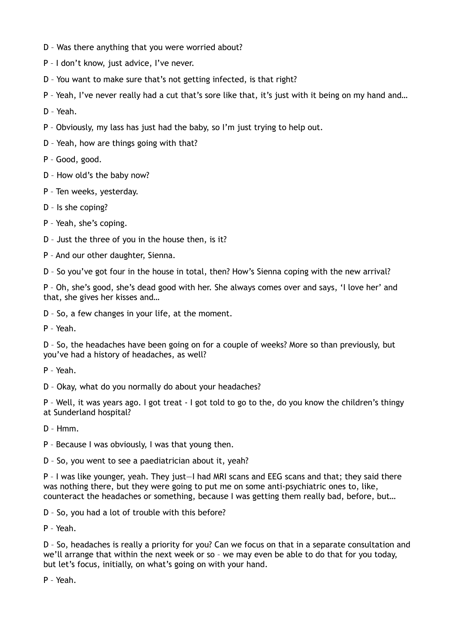- D Was there anything that you were worried about?
- P I don't know, just advice, I've never.
- D You want to make sure that's not getting infected, is that right?
- P Yeah, I've never really had a cut that's sore like that, it's just with it being on my hand and…

D – Yeah.

- P Obviously, my lass has just had the baby, so I'm just trying to help out.
- D Yeah, how are things going with that?
- P Good, good.
- D How old's the baby now?
- P Ten weeks, yesterday.
- D Is she coping?
- P Yeah, she's coping.
- D Just the three of you in the house then, is it?
- P And our other daughter, Sienna.

D – So you've got four in the house in total, then? How's Sienna coping with the new arrival?

P – Oh, she's good, she's dead good with her. She always comes over and says, 'I love her' and that, she gives her kisses and…

D – So, a few changes in your life, at the moment.

P – Yeah.

D – So, the headaches have been going on for a couple of weeks? More so than previously, but you've had a history of headaches, as well?

P – Yeah.

D – Okay, what do you normally do about your headaches?

P – Well, it was years ago. I got treat - I got told to go to the, do you know the children's thingy at Sunderland hospital?

D – Hmm.

P – Because I was obviously, I was that young then.

D – So, you went to see a paediatrician about it, yeah?

P – I was like younger, yeah. They just—I had MRI scans and EEG scans and that; they said there was nothing there, but they were going to put me on some anti-psychiatric ones to, like, counteract the headaches or something, because I was getting them really bad, before, but…

D – So, you had a lot of trouble with this before?

P – Yeah.

D – So, headaches is really a priority for you? Can we focus on that in a separate consultation and we'll arrange that within the next week or so – we may even be able to do that for you today, but let's focus, initially, on what's going on with your hand.

P – Yeah.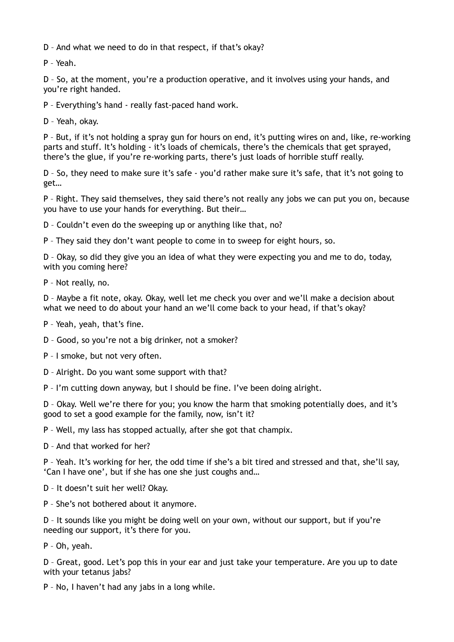D – And what we need to do in that respect, if that's okay?

P – Yeah.

D – So, at the moment, you're a production operative, and it involves using your hands, and you're right handed.

P – Everything's hand - really fast-paced hand work.

D – Yeah, okay.

P – But, if it's not holding a spray gun for hours on end, it's putting wires on and, like, re-working parts and stuff. It's holding - it's loads of chemicals, there's the chemicals that get sprayed, there's the glue, if you're re-working parts, there's just loads of horrible stuff really.

D – So, they need to make sure it's safe - you'd rather make sure it's safe, that it's not going to get…

P – Right. They said themselves, they said there's not really any jobs we can put you on, because you have to use your hands for everything. But their…

D – Couldn't even do the sweeping up or anything like that, no?

P – They said they don't want people to come in to sweep for eight hours, so.

D – Okay, so did they give you an idea of what they were expecting you and me to do, today, with you coming here?

P – Not really, no.

D – Maybe a fit note, okay. Okay, well let me check you over and we'll make a decision about what we need to do about your hand an we'll come back to your head, if that's okay?

P – Yeah, yeah, that's fine.

D – Good, so you're not a big drinker, not a smoker?

P – I smoke, but not very often.

D – Alright. Do you want some support with that?

P – I'm cutting down anyway, but I should be fine. I've been doing alright.

D – Okay. Well we're there for you; you know the harm that smoking potentially does, and it's good to set a good example for the family, now, isn't it?

P – Well, my lass has stopped actually, after she got that champix.

D – And that worked for her?

P – Yeah. It's working for her, the odd time if she's a bit tired and stressed and that, she'll say, 'Can I have one', but if she has one she just coughs and…

D – It doesn't suit her well? Okay.

P – She's not bothered about it anymore.

D – It sounds like you might be doing well on your own, without our support, but if you're needing our support, it's there for you.

P – Oh, yeah.

D – Great, good. Let's pop this in your ear and just take your temperature. Are you up to date with your tetanus jabs?

P – No, I haven't had any jabs in a long while.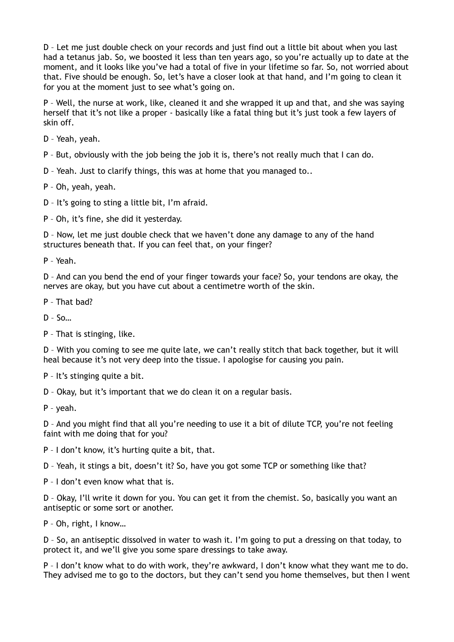D – Let me just double check on your records and just find out a little bit about when you last had a tetanus jab. So, we boosted it less than ten years ago, so you're actually up to date at the moment, and it looks like you've had a total of five in your lifetime so far. So, not worried about that. Five should be enough. So, let's have a closer look at that hand, and I'm going to clean it for you at the moment just to see what's going on.

P – Well, the nurse at work, like, cleaned it and she wrapped it up and that, and she was saying herself that it's not like a proper - basically like a fatal thing but it's just took a few layers of skin off.

D – Yeah, yeah.

P – But, obviously with the job being the job it is, there's not really much that I can do.

D – Yeah. Just to clarify things, this was at home that you managed to..

P – Oh, yeah, yeah.

D – It's going to sting a little bit, I'm afraid.

P – Oh, it's fine, she did it yesterday.

D – Now, let me just double check that we haven't done any damage to any of the hand structures beneath that. If you can feel that, on your finger?

P – Yeah.

D – And can you bend the end of your finger towards your face? So, your tendons are okay, the nerves are okay, but you have cut about a centimetre worth of the skin.

P – That bad?

D – So…

P – That is stinging, like.

D – With you coming to see me quite late, we can't really stitch that back together, but it will heal because it's not very deep into the tissue. I apologise for causing you pain.

P – It's stinging quite a bit.

D – Okay, but it's important that we do clean it on a regular basis.

P – yeah.

D – And you might find that all you're needing to use it a bit of dilute TCP, you're not feeling faint with me doing that for you?

P – I don't know, it's hurting quite a bit, that.

D – Yeah, it stings a bit, doesn't it? So, have you got some TCP or something like that?

P – I don't even know what that is.

D – Okay, I'll write it down for you. You can get it from the chemist. So, basically you want an antiseptic or some sort or another.

P – Oh, right, I know…

D – So, an antiseptic dissolved in water to wash it. I'm going to put a dressing on that today, to protect it, and we'll give you some spare dressings to take away.

P – I don't know what to do with work, they're awkward, I don't know what they want me to do. They advised me to go to the doctors, but they can't send you home themselves, but then I went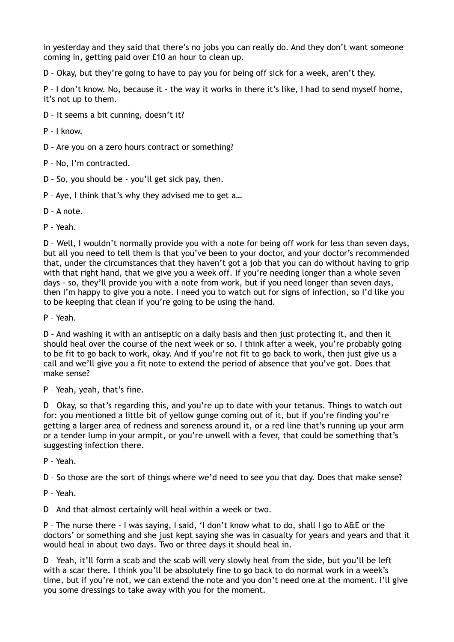in yesterday and they said that there's no jobs you can really do. And they don't want someone coming in, getting paid over £10 an hour to clean up.

D – Okay, but they're going to have to pay you for being off sick for a week, aren't they.

P – I don't know. No, because it - the way it works in there it's like, I had to send myself home, it's not up to them.

- D It seems a bit cunning, doesn't it?
- P I know.
- D Are you on a zero hours contract or something?
- P No, I'm contracted.
- D So, you should be you'll get sick pay, then.
- P Aye, I think that's why they advised me to get a…
- D A note.
- P Yeah.

D – Well, I wouldn't normally provide you with a note for being off work for less than seven days, but all you need to tell them is that you've been to your doctor, and your doctor's recommended that, under the circumstances that they haven't got a job that you can do without having to grip with that right hand, that we give you a week off. If you're needing longer than a whole seven days - so, they'll provide you with a note from work, but if you need longer than seven days, then I'm happy to give you a note. I need you to watch out for signs of infection, so I'd like you to be keeping that clean if you're going to be using the hand.

P – Yeah.

D – And washing it with an antiseptic on a daily basis and then just protecting it, and then it should heal over the course of the next week or so. I think after a week, you're probably going to be fit to go back to work, okay. And if you're not fit to go back to work, then just give us a call and we'll give you a fit note to extend the period of absence that you've got. Does that make sense?

P – Yeah, yeah, that's fine.

D – Okay, so that's regarding this, and you're up to date with your tetanus. Things to watch out for: you mentioned a little bit of yellow gunge coming out of it, but if you're finding you're getting a larger area of redness and soreness around it, or a red line that's running up your arm or a tender lump in your armpit, or you're unwell with a fever, that could be something that's suggesting infection there.

P – Yeah.

D – So those are the sort of things where we'd need to see you that day. Does that make sense?

P – Yeah.

D – And that almost certainly will heal within a week or two.

P – The nurse there - I was saying, I said, 'I don't know what to do, shall I go to A&E or the doctors' or something and she just kept saying she was in casualty for years and years and that it would heal in about two days. Two or three days it should heal in.

D – Yeah, it'll form a scab and the scab will very slowly heal from the side, but you'll be left with a scar there. I think you'll be absolutely fine to go back to do normal work in a week's time, but if you're not, we can extend the note and you don't need one at the moment. I'll give you some dressings to take away with you for the moment.